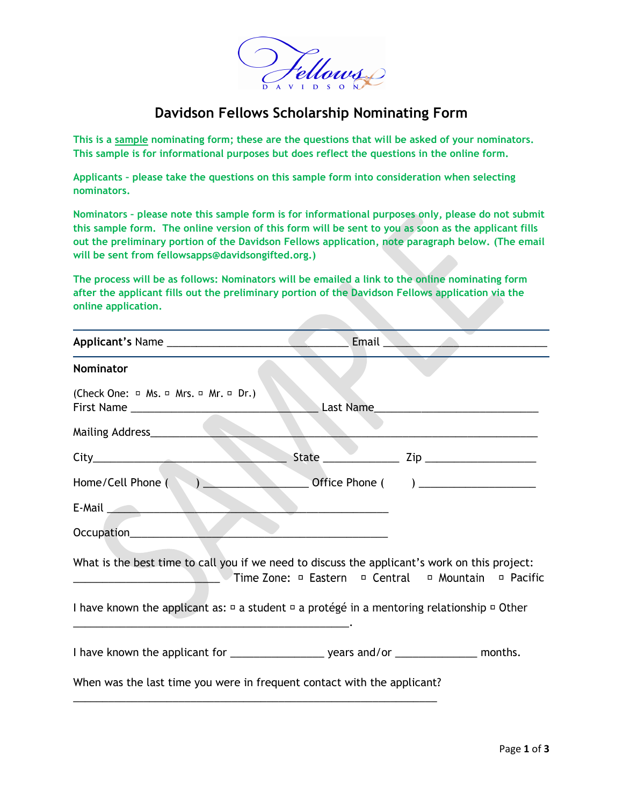

## **Davidson Fellows Scholarship Nominating Form**

**This is a sample nominating form; these are the questions that will be asked of your nominators. This sample is for informational purposes but does reflect the questions in the online form.** 

**Applicants – please take the questions on this sample form into consideration when selecting nominators.**

**Nominators – please note this sample form is for informational purposes only, please do not submit this sample form. The online version of this form will be sent to you as soon as the applicant fills out the preliminary portion of the Davidson Fellows application, note paragraph below. (The email will be sent from fellowsapps@davidsongifted.org.)**

**The process will be as follows: Nominators will be emailed a link to the online nominating form after the applicant fills out the preliminary portion of the Davidson Fellows application via the online application.** 

|                                                                                                                                                                                                                                  |           | Email <u>and the community of the set of the set of the set of the set of the set of the set of the set of the set of the set of the set of the set of the set of the set of the set of the set of the set of the set of the set</u> |
|----------------------------------------------------------------------------------------------------------------------------------------------------------------------------------------------------------------------------------|-----------|--------------------------------------------------------------------------------------------------------------------------------------------------------------------------------------------------------------------------------------|
| <b>Nominator</b>                                                                                                                                                                                                                 |           |                                                                                                                                                                                                                                      |
| (Check One: □ Ms. □ Mrs. □ Mr. □ Dr.)                                                                                                                                                                                            | Last Name |                                                                                                                                                                                                                                      |
| Mailing Address____________                                                                                                                                                                                                      |           |                                                                                                                                                                                                                                      |
| $City$ and $x$ and $x$ and $x$ and $x$ and $x$ and $x$ and $x$ and $x$ and $x$ and $x$ and $x$ and $x$ and $x$ and $x$ and $x$ and $x$ and $x$ and $x$ and $x$ and $x$ and $x$ and $x$ and $x$ and $x$ and $x$ and $x$ and $x$ a |           |                                                                                                                                                                                                                                      |
| Home/Cell Phone ()                                                                                                                                                                                                               |           | Office Phone () __________________                                                                                                                                                                                                   |
| E-Mail <b>E-Mail</b>                                                                                                                                                                                                             |           |                                                                                                                                                                                                                                      |
| Occupation________                                                                                                                                                                                                               |           |                                                                                                                                                                                                                                      |
| What is the best time to call you if we need to discuss the applicant's work on this project:<br><u>Dentral</u> Dentral Dental Dental Dental Dentral Dental Dental Dental Dental Dental Dental Dental Dental Dental Dental       |           |                                                                                                                                                                                                                                      |
| I have known the applicant as: $\Box$ a student $\Box$ a protégé in a mentoring relationship $\Box$ Other                                                                                                                        |           |                                                                                                                                                                                                                                      |
|                                                                                                                                                                                                                                  |           |                                                                                                                                                                                                                                      |
| When was the last time you were in frequent contact with the applicant?                                                                                                                                                          |           |                                                                                                                                                                                                                                      |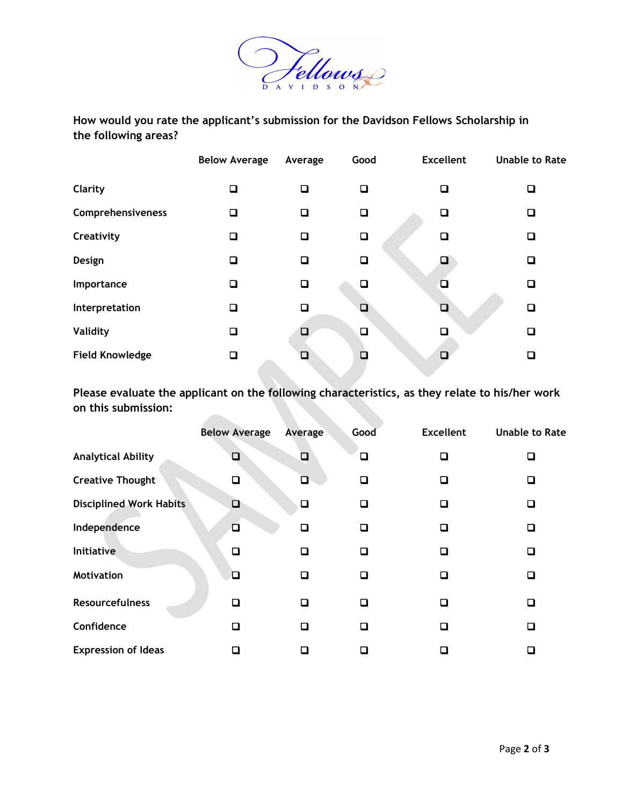

**How would you rate the applicant's submission for the Davidson Fellows Scholarship in the following areas?**

|                        | <b>Below Average</b> | Average | Good   | <b>Excellent</b> | <b>Unable to Rate</b> |
|------------------------|----------------------|---------|--------|------------------|-----------------------|
| Clarity                | ❏                    | □       | □      | ❏                | □                     |
| Comprehensiveness      | ❏                    | П       | ❏      | ❏                | □                     |
| Creativity             | ❏                    | П       | □      | $\Box$           | □                     |
| Design                 | ❏                    | О       | ❏      | ◪                | ❏                     |
| Importance             | □                    | ◻       | $\Box$ | 口                | □                     |
| Interpretation         | ❏                    | П       | П      | $\Box$           | $\Box$                |
| <b>Validity</b>        | $\Box$               |         | $\Box$ |                  | $\Box$                |
| <b>Field Knowledge</b> | o                    |         |        | $\Box$           | □                     |

**Please evaluate the applicant on the following characteristics, as they relate to his/her work on this submission:** 

|                                | <b>Below Average</b> | Average | Good                        | <b>Excellent</b>         | <b>Unable to Rate</b> |
|--------------------------------|----------------------|---------|-----------------------------|--------------------------|-----------------------|
| <b>Analytical Ability</b>      | $\Box$               | $\Box$  | ❏                           | п                        | ◻                     |
| <b>Creative Thought</b>        | Q                    | О       | ❏                           | □                        | ◘                     |
| <b>Disciplined Work Habits</b> | $\Box$               | ❏       | □                           | . .                      | ◻                     |
| Independence                   | $\Box$               | □       | ◻                           | $\overline{\phantom{a}}$ | ◻                     |
| Initiative                     | $\Box$               | □       | ◻                           | П                        | ◻                     |
| <b>Motivation</b>              | ◻                    | ◻       | □                           | □                        | ◻                     |
| <b>Resourcefulness</b>         | □                    | ◻       | ◻                           | $\overline{\phantom{a}}$ | □                     |
| Confidence                     | П                    | n       | ◻                           |                          | ◻                     |
| <b>Expression of Ideas</b>     |                      |         | $\mathcal{L}_{\mathcal{A}}$ |                          | п                     |